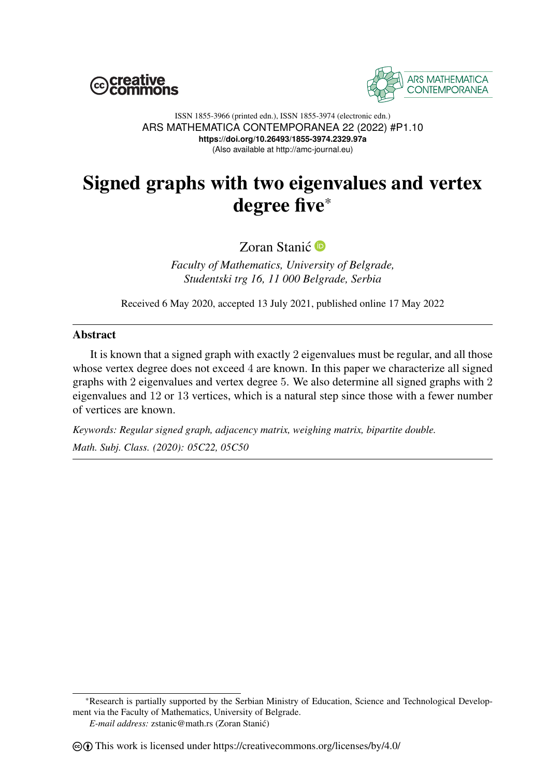



ISSN 1855-3966 (printed edn.), ISSN 1855-3974 (electronic edn.) ARS MATHEMATICA CONTEMPORANEA 22 (2022) #P1.10 **https://doi.org/10.26493/1855-3974.2329.97a** (Also available at http://amc-journal.eu)

## Signed graphs with two eigenvalues and vertex degree five\*

Zoran Stanić<sup>®</sup>

*Faculty of Mathematics, University of Belgrade, Studentski trg 16, 11 000 Belgrade, Serbia*

Received 6 May 2020, accepted 13 July 2021, published online 17 May 2022

## Abstract

It is known that a signed graph with exactly 2 eigenvalues must be regular, and all those whose vertex degree does not exceed 4 are known. In this paper we characterize all signed graphs with 2 eigenvalues and vertex degree 5. We also determine all signed graphs with 2 eigenvalues and 12 or 13 vertices, which is a natural step since those with a fewer number of vertices are known.

*Keywords: Regular signed graph, adjacency matrix, weighing matrix, bipartite double. Math. Subj. Class. (2020): 05C22, 05C50*

\*Research is partially supported by the Serbian Ministry of Education, Science and Technological Development via the Faculty of Mathematics, University of Belgrade.

*E-mail address:* zstanic@math.rs (Zoran Stanic)´